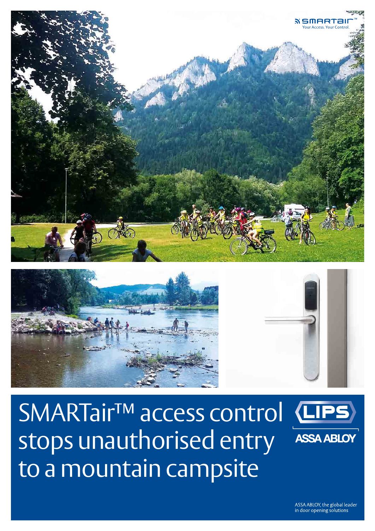



SMARTair<sup>™</sup> access control stops unauthorised entry to a mountain campsite



ASSA ABLOY, the global leader in door opening solutions